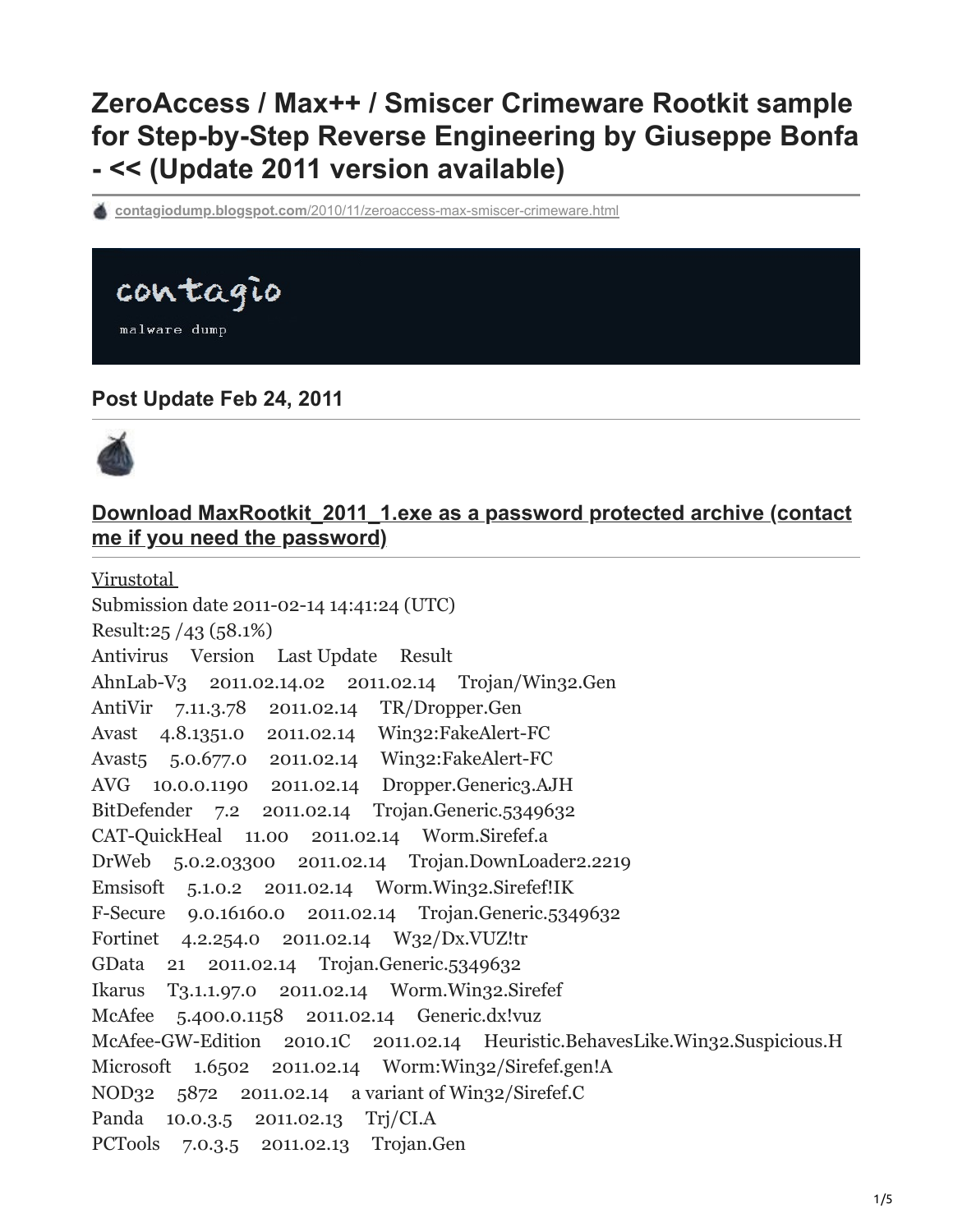# **ZeroAccess / Max++ / Smiscer Crimeware Rootkit sample for Step-by-Step Reverse Engineering by Giuseppe Bonfa - << (Update 2011 version available)**

**contagiodump.blogspot.com**[/2010/11/zeroaccess-max-smiscer-crimeware.html](http://contagiodump.blogspot.com/2010/11/zeroaccess-max-smiscer-crimeware.html)



malware dump

# **Post Update Feb 24, 2011**



# **[Download MaxRootkit\\_2011\\_1.exe as a password protected archive \(contact](http://www.mediafire.com/?epws9on5k104npi) me if you need the password)**

[Virustotal](http://www.virustotal.com/file-scan/report.html?id=24a0f04756da15a2f93618c1be2cf4bef437061d402b007794488f56e77fea53-1297694484)  Submission date 2011-02-14 14:41:24 (UTC) Result:25 /43 (58.1%) Antivirus Version Last Update Result AhnLab-V3 2011.02.14.02 2011.02.14 Trojan/Win32.Gen AntiVir 7.11.3.78 2011.02.14 TR/Dropper.Gen Avast 4.8.1351.0 2011.02.14 Win32:FakeAlert-FC Avast5 5.0.677.0 2011.02.14 Win32:FakeAlert-FC AVG 10.0.0.1190 2011.02.14 Dropper.Generic3.AJH BitDefender 7.2 2011.02.14 Trojan.Generic.5349632 CAT-QuickHeal 11.00 2011.02.14 Worm.Sirefef.a DrWeb 5.0.2.03300 2011.02.14 Trojan.DownLoader2.2219 Emsisoft 5.1.0.2 2011.02.14 Worm.Win32.Sirefef!IK F-Secure 9.0.16160.0 2011.02.14 Trojan.Generic.5349632 Fortinet 4.2.254.0 2011.02.14 W32/Dx.VUZ!tr GData 21 2011.02.14 Trojan.Generic.5349632 Ikarus T3.1.1.97.0 2011.02.14 Worm.Win32.Sirefef McAfee 5.400.0.1158 2011.02.14 Generic.dx!vuz McAfee-GW-Edition 2010.1C 2011.02.14 Heuristic.BehavesLike.Win32.Suspicious.H Microsoft 1.6502 2011.02.14 Worm:Win32/Sirefef.gen!A NOD32 5872 2011.02.14 a variant of Win32/Sirefef.C Panda 10.0.3.5 2011.02.13 Trj/CI.A PCTools 7.0.3.5 2011.02.13 Trojan.Gen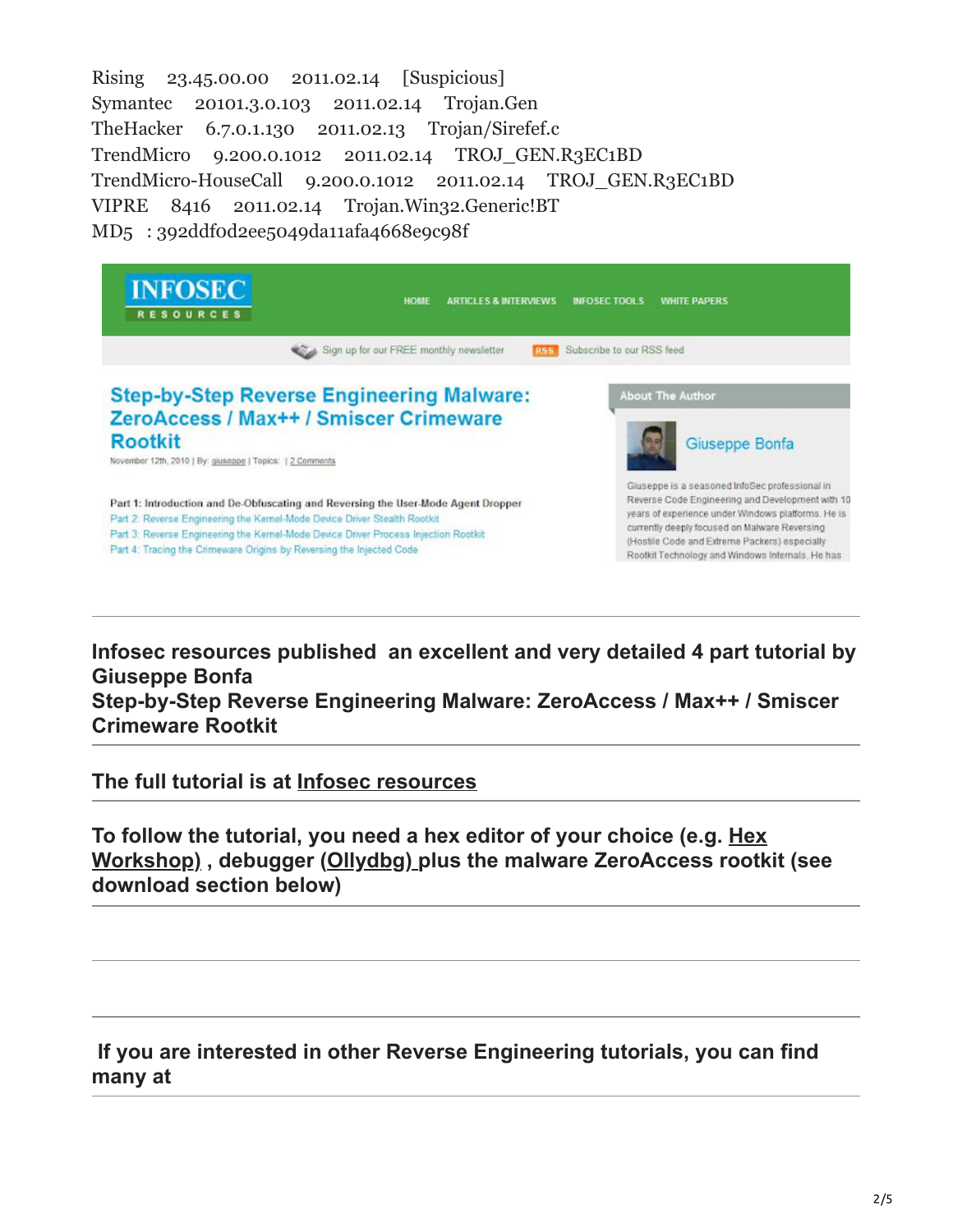Rising 23.45.00.00 2011.02.14 [Suspicious] Symantec 20101.3.0.103 2011.02.14 Trojan.Gen TheHacker 6.7.0.1.130 2011.02.13 Trojan/Sirefef.c TrendMicro 9.200.0.1012 2011.02.14 TROJ\_GEN.R3EC1BD TrendMicro-HouseCall 9.200.0.1012 2011.02.14 TROJ\_GEN.R3EC1BD VIPRE 8416 2011.02.14 Trojan.Win32.Generic!BT MD5 : 392ddf0d2ee5049da11afa4668e9c98f

| <b>INFOSEC</b><br><b>RESOURCES</b>                                                                                                                                                                                                                                                                                            | <b>HOME</b>                                                                                | <b>ARTICLES &amp; INTERVIEWS</b> | <b>INFOSEC TOOLS</b>      | <b><i>WHITE PAPERS</i></b>                                                                                                                                                                                                                                                                                     |  |
|-------------------------------------------------------------------------------------------------------------------------------------------------------------------------------------------------------------------------------------------------------------------------------------------------------------------------------|--------------------------------------------------------------------------------------------|----------------------------------|---------------------------|----------------------------------------------------------------------------------------------------------------------------------------------------------------------------------------------------------------------------------------------------------------------------------------------------------------|--|
|                                                                                                                                                                                                                                                                                                                               | Sign up for our FREE monthly newsletter                                                    | <b>RSS</b>                       | Subscribe to our RSS feed |                                                                                                                                                                                                                                                                                                                |  |
| <b>Rootkit</b><br>November 12th, 2010   By: giuseppe   Topics:   2 Comments                                                                                                                                                                                                                                                   | <b>Step-by-Step Reverse Engineering Malware:</b><br>ZeroAccess / Max++ / Smiscer Crimeware |                                  |                           | <b>About The Author</b><br>Giuseppe Bonfa                                                                                                                                                                                                                                                                      |  |
| Part 1: Introduction and De-Obfuscating and Reversing the User-Mode Agent Dropper<br>Part 2: Reverse Engineering the Kernel-Mode Device Driver Stealth Rootkit<br>Part 3: Reverse Engineering the Kernel-Mode Device Driver Process Injection Rootkit<br>Part 4: Tracing the Crimeware Origins by Reversing the Injected Code |                                                                                            |                                  |                           | Giuseppe is a seasoned InfoSec professional in<br>Reverse Code Engineering and Development with 10<br>years of experience under Windows platforms. He is<br>currently deeply focused on Malware Reversing<br>(Hostile Code and Extreme Packers) especially<br>Rootkit Technology and Windows Internals. He has |  |

**Infosec resources published an excellent and very detailed 4 part tutorial by Giuseppe Bonfa**

**Step-by-Step Reverse Engineering Malware: ZeroAccess / Max++ / Smiscer Crimeware Rootkit**

**The full tutorial is at [Infosec resources](http://resources.infosecinstitute.com/step-by-step-tutorial-on-reverse-engineering-malware-the-zeroaccessmaxsmiscer-crimeware-rootkit/)**

**To follow the tutorial, you need a hex editor of your choice (e.g. Hex [Workshop\) , debugger \(Ollydbg\) plus the malware ZeroAccess rootk](http://www.hexworkshop.com/)it (see download section below)**

# **If you are interested in other Reverse Engineering tutorials, you can find many at**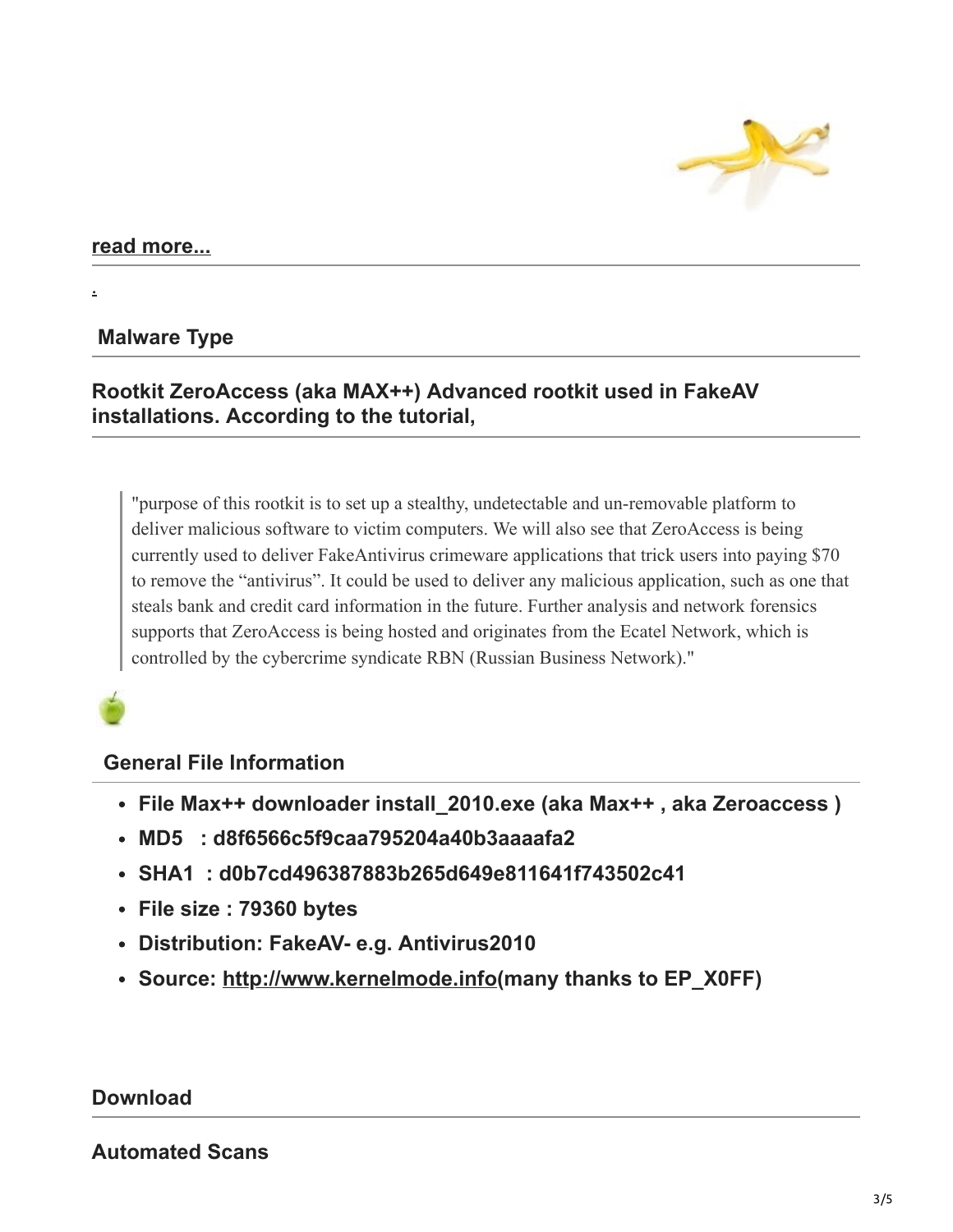

## **[read more...](http://contagiodump.blogspot.com/2010/11/zeroaccess-max-smiscer-crimeware.html#more)**

[.](http://4.bp.blogspot.com/_xQabPlo6k5s/S73G2bELCJI/AAAAAAAABAI/VD9kai35lHU/s1600/bananpeel.jpg)

### **Malware Type**

# **Rootkit ZeroAccess (aka MAX++) Advanced rootkit used in FakeAV installations. According to the tutorial,**

"purpose of this rootkit is to set up a stealthy, undetectable and un-removable platform to deliver malicious software to victim computers. We will also see that ZeroAccess is being currently used to deliver FakeAntivirus crimeware applications that trick users into paying \$70 to remove the "antivirus". It could be used to deliver any malicious application, such as one that steals bank and credit card information in the future. Further analysis and network forensics supports that ZeroAccess is being hosted and originates from the Ecatel Network, which is controlled by the cybercrime syndicate RBN (Russian Business Network)."

#### **General File Information**

- **File Max++ downloader install\_2010.exe (aka Max++ , aka Zeroaccess )**
- **MD5 : d8f6566c5f9caa795204a40b3aaaafa2**
- **SHA1 : d0b7cd496387883b265d649e811641f743502c41**
- **File size : 79360 bytes**
- **Distribution: FakeAV- e.g. Antivirus2010**
- **Source: [http://www.kernelmode.info\(](http://www.blogger.com/goog_1563820971)many thanks to EP\_X0FF)**

#### **Download**

#### **Automated Scans**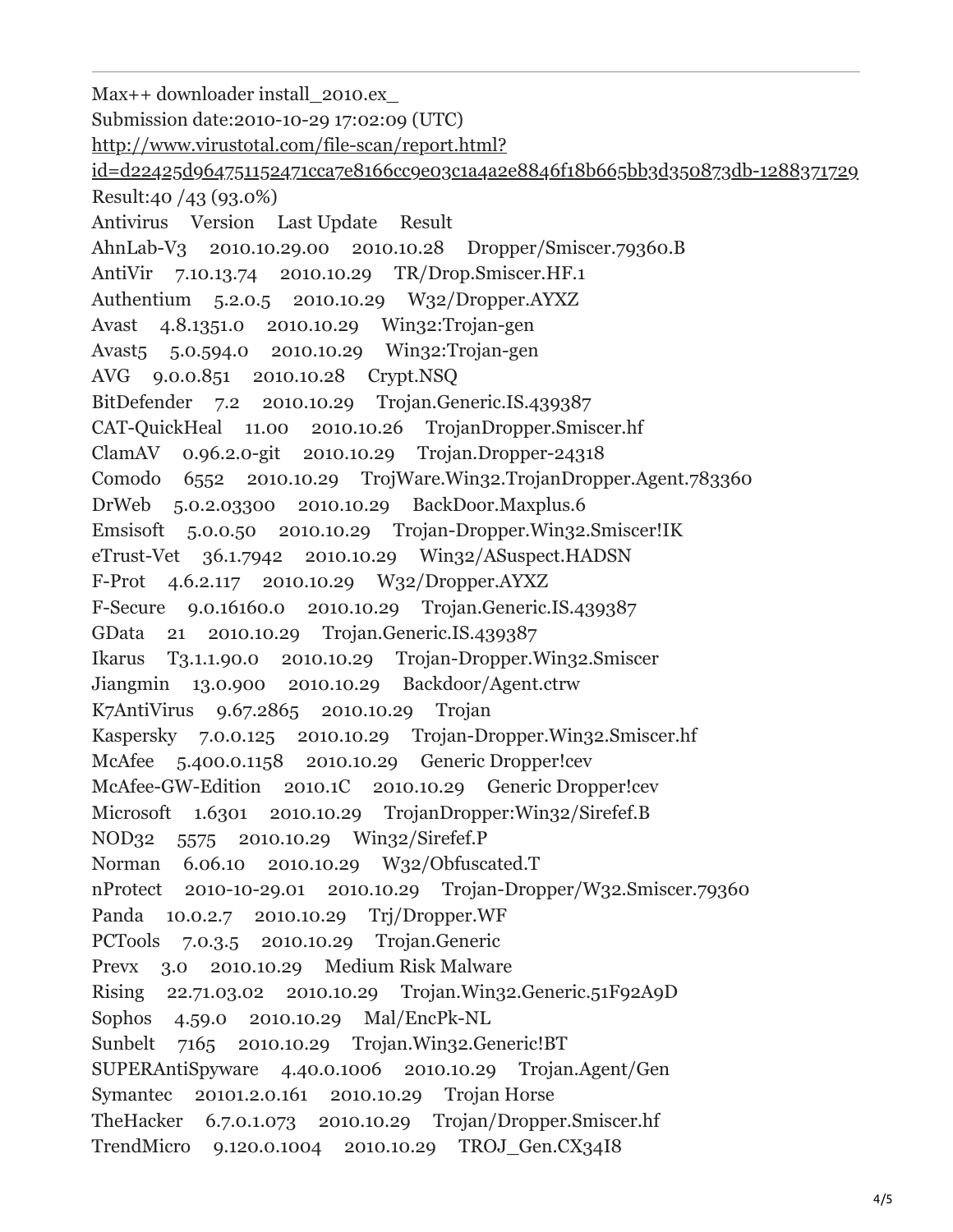Max++ downloader install\_2010.ex\_ Submission date:2010-10-29 17:02:09 (UTC) http://www.virustotal.com/file-scan/report.html? [id=d22425d964751152471cca7e8166cc9e03c1a4a2e8846f18b665bb3d350873db-1288371729](http://www.virustotal.com/file-scan/report.html?id=d22425d964751152471cca7e8166cc9e03c1a4a2e8846f18b665bb3d350873db-1288371729) Result:40 /43 (93.0%) Antivirus Version Last Update Result AhnLab-V3 2010.10.29.00 2010.10.28 Dropper/Smiscer.79360.B AntiVir 7.10.13.74 2010.10.29 TR/Drop.Smiscer.HF.1 Authentium 5.2.0.5 2010.10.29 W32/Dropper.AYXZ Avast 4.8.1351.0 2010.10.29 Win32:Trojan-gen Avast5 5.0.594.0 2010.10.29 Win32:Trojan-gen AVG 9.0.0.851 2010.10.28 Crypt.NSQ BitDefender 7.2 2010.10.29 Trojan.Generic.IS.439387 CAT-QuickHeal 11.00 2010.10.26 TrojanDropper.Smiscer.hf ClamAV 0.96.2.0-git 2010.10.29 Trojan.Dropper-24318 Comodo 6552 2010.10.29 TrojWare.Win32.TrojanDropper.Agent.783360 DrWeb 5.0.2.03300 2010.10.29 BackDoor.Maxplus.6 Emsisoft 5.0.0.50 2010.10.29 Trojan-Dropper.Win32.Smiscer!IK eTrust-Vet 36.1.7942 2010.10.29 Win32/ASuspect.HADSN F-Prot 4.6.2.117 2010.10.29 W32/Dropper.AYXZ F-Secure 9.0.16160.0 2010.10.29 Trojan.Generic.IS.439387 GData 21 2010.10.29 Trojan.Generic.IS.439387 Ikarus T3.1.1.90.0 2010.10.29 Trojan-Dropper.Win32.Smiscer Jiangmin 13.0.900 2010.10.29 Backdoor/Agent.ctrw K7AntiVirus 9.67.2865 2010.10.29 Trojan Kaspersky 7.0.0.125 2010.10.29 Trojan-Dropper.Win32.Smiscer.hf McAfee 5.400.0.1158 2010.10.29 Generic Dropper!cev McAfee-GW-Edition 2010.1C 2010.10.29 Generic Dropper!cev Microsoft 1.6301 2010.10.29 TrojanDropper:Win32/Sirefef.B NOD32 5575 2010.10.29 Win32/Sirefef.P Norman 6.06.10 2010.10.29 W32/Obfuscated.T nProtect 2010-10-29.01 2010.10.29 Trojan-Dropper/W32.Smiscer.79360 Panda 10.0.2.7 2010.10.29 Trj/Dropper.WF PCTools 7.0.3.5 2010.10.29 Trojan.Generic Prevx 3.0 2010.10.29 Medium Risk Malware Rising 22.71.03.02 2010.10.29 Trojan.Win32.Generic.51F92A9D Sophos 4.59.0 2010.10.29 Mal/EncPk-NL Sunbelt 7165 2010.10.29 Trojan.Win32.Generic!BT SUPERAntiSpyware 4.40.0.1006 2010.10.29 Trojan.Agent/Gen Symantec 20101.2.0.161 2010.10.29 Trojan Horse TheHacker 6.7.0.1.073 2010.10.29 Trojan/Dropper.Smiscer.hf TrendMicro 9.120.0.1004 2010.10.29 TROJ\_Gen.CX34I8